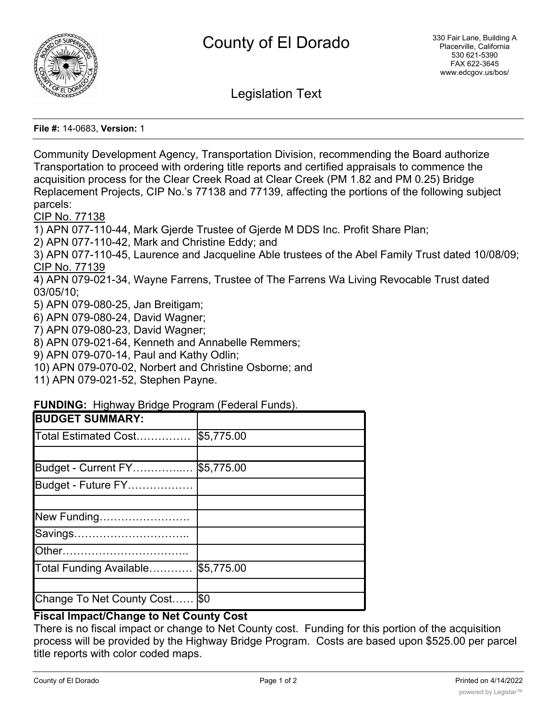

Legislation Text

**File #:** 14-0683, **Version:** 1

Community Development Agency, Transportation Division, recommending the Board authorize Transportation to proceed with ordering title reports and certified appraisals to commence the acquisition process for the Clear Creek Road at Clear Creek (PM 1.82 and PM 0.25) Bridge Replacement Projects, CIP No.'s 77138 and 77139, affecting the portions of the following subject parcels:

CIP No. 77138

1) APN 077-110-44, Mark Gjerde Trustee of Gjerde M DDS Inc. Profit Share Plan;

2) APN 077-110-42, Mark and Christine Eddy; and

3) APN 077-110-45, Laurence and Jacqueline Able trustees of the Abel Family Trust dated 10/08/09; CIP No. 77139

4) APN 079-021-34, Wayne Farrens, Trustee of The Farrens Wa Living Revocable Trust dated 03/05/10;

5) APN 079-080-25, Jan Breitigam;

6) APN 079-080-24, David Wagner;

- 7) APN 079-080-23, David Wagner;
- 8) APN 079-021-64, Kenneth and Annabelle Remmers;

9) APN 079-070-14, Paul and Kathy Odlin;

10) APN 079-070-02, Norbert and Christine Osborne; and

11) APN 079-021-52, Stephen Payne.

## **FUNDING:** Highway Bridge Program (Federal Funds).

| <b>BUDGET SUMMARY:</b>        |            |
|-------------------------------|------------|
| Total Estimated Cost          | \$5,775.00 |
|                               |            |
| Budget - Current FY           | \$5,775.00 |
| Budget - Future FY            |            |
|                               |            |
| New Funding                   |            |
| Savings                       |            |
|                               |            |
| Total Funding Available       | \$5,775.00 |
|                               |            |
| Change To Net County Cost \$0 |            |

## **Fiscal Impact/Change to Net County Cost**

There is no fiscal impact or change to Net County cost. Funding for this portion of the acquisition process will be provided by the Highway Bridge Program. Costs are based upon \$525.00 per parcel title reports with color coded maps.